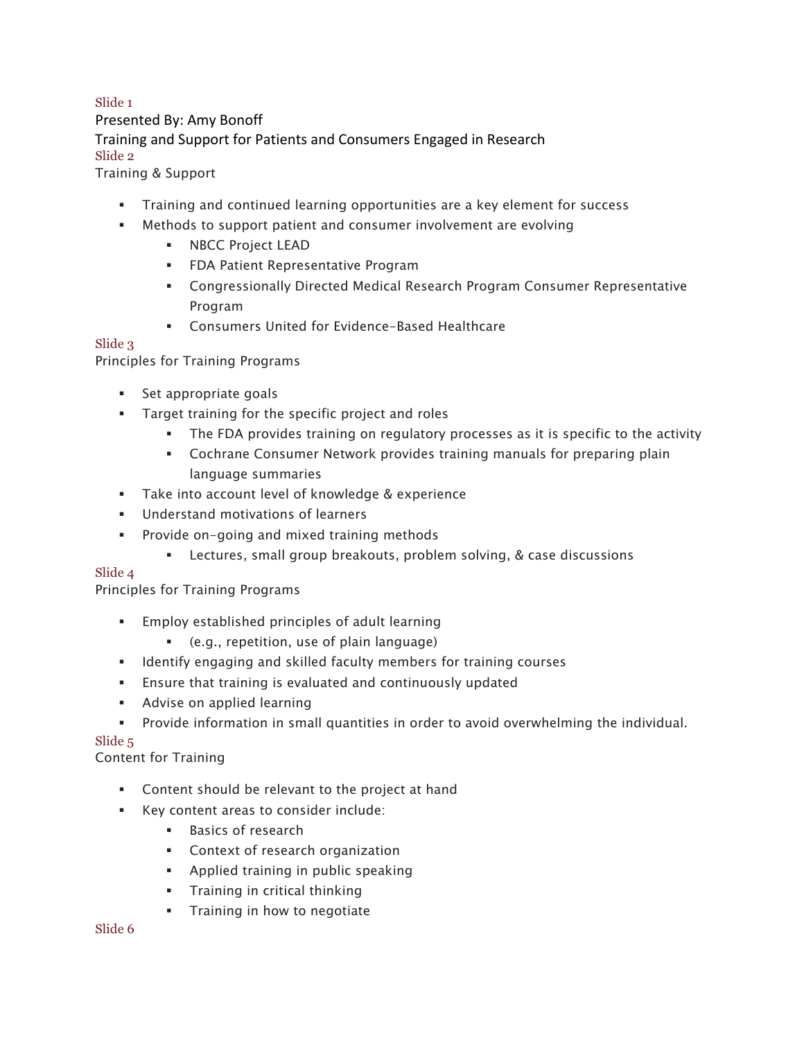# Training and Support for Patients and Consumers Engaged in Research Slide 1 Presented By: Amy Bonoff Slide 2

Training & Support

- § Training and continued learning opportunities are a key element for success
- Methods to support patient and consumer involvement are evolving
	- § NBCC Project LEAD
	- § FDA Patient Representative Program
	- § Congressionally Directed Medical Research Program Consumer Representative Program
	- Consumers United for Evidence-Based Healthcare

#### Slide 3

Principles for Training Programs

- Set appropriate goals
- § Target training for the specific project and roles
	- § The FDA provides training on regulatory processes as it is specific to the activity
	- Cochrane Consumer Network provides training manuals for preparing plain language summaries
- Take into account level of knowledge & experience
- Understand motivations of learners
- Provide on-going and mixed training methods
	- Lectures, small group breakouts, problem solving, & case discussions

## Slide 4

Principles for Training Programs

- § Employ established principles of adult learning
	- § (e.g., repetition, use of plain language)
- § Identify engaging and skilled faculty members for training courses
- Ensure that training is evaluated and continuously updated
- **•** Advise on applied learning
- § Provide information in small quantities in order to avoid overwhelming the individual.

## Slide 5

## Content for Training

- Content should be relevant to the project at hand
- Key content areas to consider include:
	- Basics of research
	- Context of research organization
	- § Applied training in public speaking
	- § Training in critical thinking
	- **•** Training in how to negotiate

#### Slide 6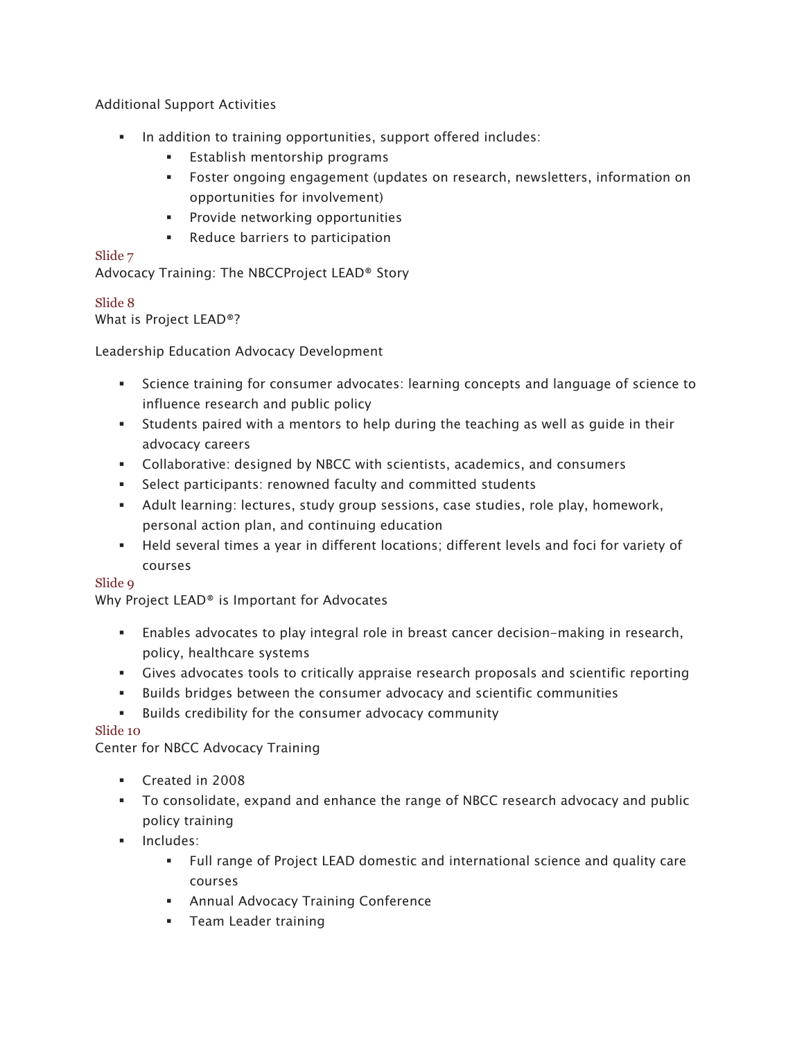Additional Support Activities

- § In addition to training opportunities, support offered includes:
	- **Establish mentorship programs**
	- § Foster ongoing engagement (updates on research, newsletters, information on opportunities for involvement)
	- § Provide networking opportunities
	- Reduce barriers to participation

#### Slide 7

Advocacy Training: The NBCCProject LEAD® Story

# Slide 8

What is Project LEAD®?

Leadership Education Advocacy Development

- Science training for consumer advocates: learning concepts and language of science to influence research and public policy
- § Students paired with a mentors to help during the teaching as well as guide in their advocacy careers
- § Collaborative: designed by NBCC with scientists, academics, and consumers
- Select participants: renowned faculty and committed students
- § Adult learning: lectures, study group sessions, case studies, role play, homework, personal action plan, and continuing education
- § Held several times a year in different locations; different levels and foci for variety of courses

## Slide 9

Why Project LEAD® is Important for Advocates

- § Enables advocates to play integral role in breast cancer decision-making in research, policy, healthcare systems
- § Gives advocates tools to critically appraise research proposals and scientific reporting
- § Builds bridges between the consumer advocacy and scientific communities
- § Builds credibility for the consumer advocacy community

## Slide 10

Center for NBCC Advocacy Training

- § Created in 2008
- § To consolidate, expand and enhance the range of NBCC research advocacy and public policy training
- § Includes:
	- § Full range of Project LEAD domestic and international science and quality care courses
	- Annual Advocacy Training Conference
	- § Team Leader training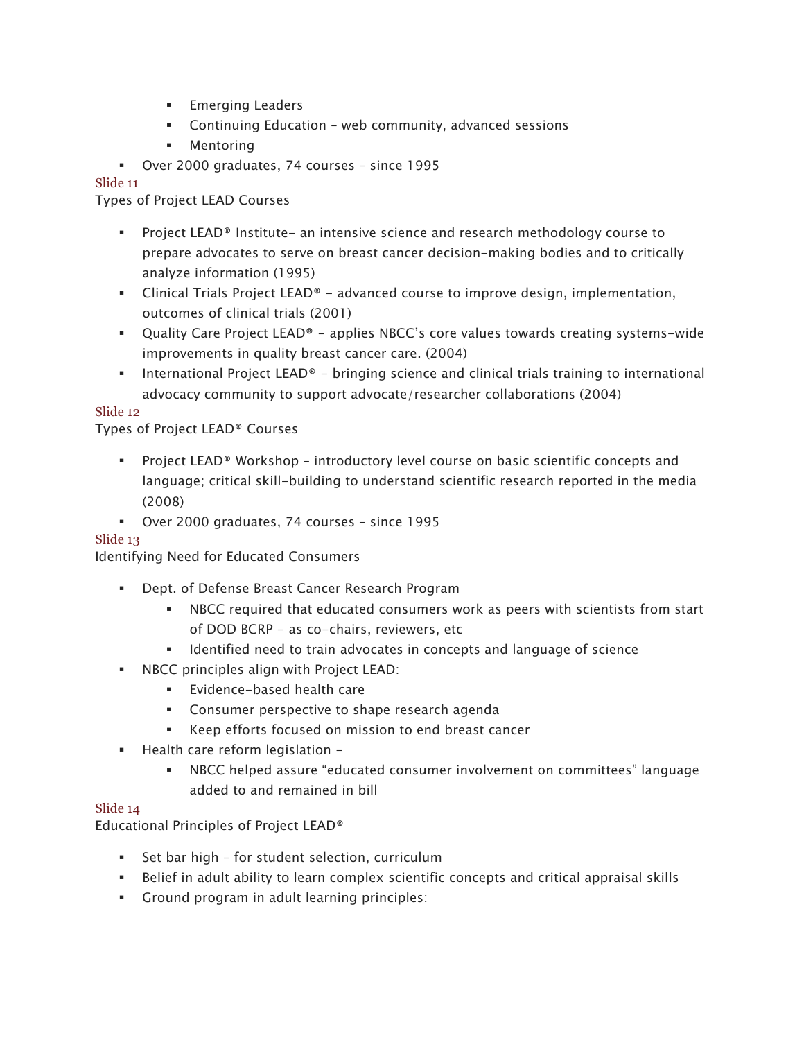- **Emerging Leaders**
- § Continuing Education web community, advanced sessions
- § Mentoring
- § Over 2000 graduates, 74 courses since 1995

#### Slide 11

Types of Project LEAD Courses

- § Project LEAD® Institute- an intensive science and research methodology course to prepare advocates to serve on breast cancer decision-making bodies and to critically analyze information (1995)
- $\blacksquare$  Clinical Trials Project LEAD® advanced course to improve design, implementation, outcomes of clinical trials (2001)
- Quality Care Project LEAD® applies NBCC's core values towards creating systems-wide improvements in quality breast cancer care. (2004)
- International Project LEAD® bringing science and clinical trials training to international advocacy community to support advocate/researcher collaborations (2004)

#### Slide 12

## Types of Project LEAD® Courses

- § Project LEAD® Workshop introductory level course on basic scientific concepts and language; critical skill-building to understand scientific research reported in the media (2008)
- § Over 2000 graduates, 74 courses since 1995

## Slide 13

Identifying Need for Educated Consumers

- Dept. of Defense Breast Cancer Research Program
	- § NBCC required that educated consumers work as peers with scientists from start of DOD BCRP - as co-chairs, reviewers, etc
	- Identified need to train advocates in concepts and language of science
- § NBCC principles align with Project LEAD:
	- Evidence-based health care
	- Consumer perspective to shape research agenda
	- Keep efforts focused on mission to end breast cancer
- Health care reform legislation -
	- § NBCC helped assure "educated consumer involvement on committees" language added to and remained in bill

#### Slide 14

Educational Principles of Project LEAD®

- Set bar high for student selection, curriculum
- § Belief in adult ability to learn complex scientific concepts and critical appraisal skills
- § Ground program in adult learning principles: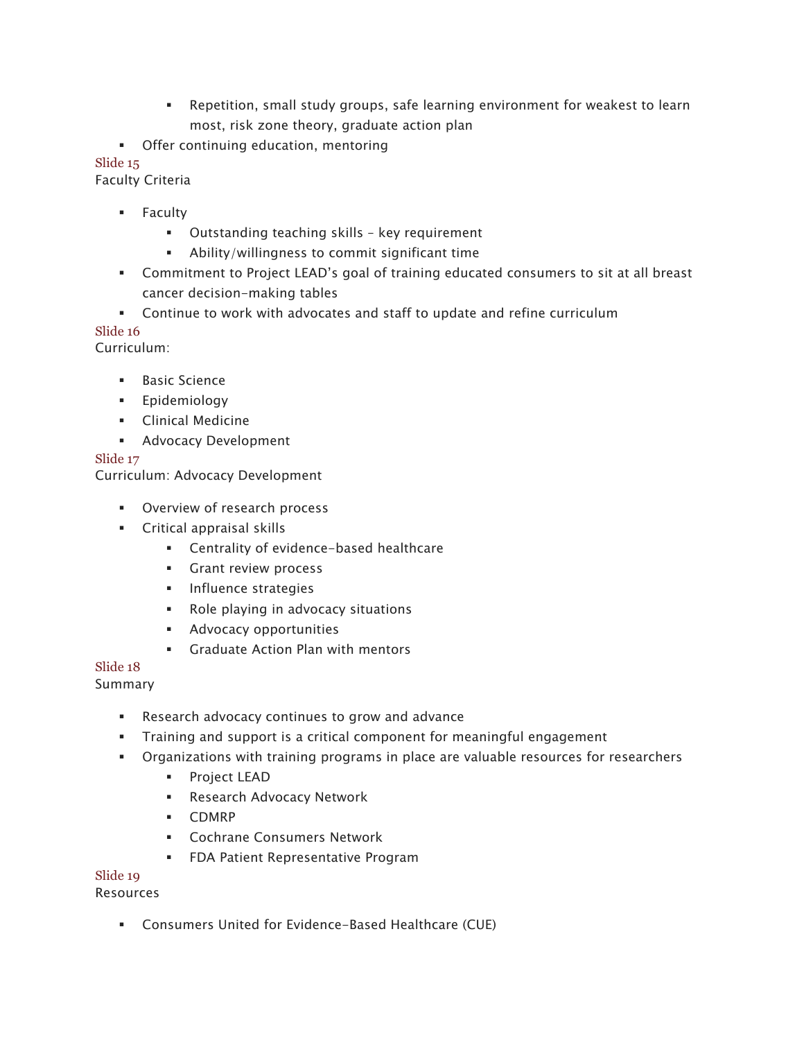- § Repetition, small study groups, safe learning environment for weakest to learn most, risk zone theory, graduate action plan
- § Offer continuing education, mentoring

# Slide 15

Faculty Criteria

- § Faculty
	- Outstanding teaching skills key requirement
	- § Ability/willingness to commit significant time
- § Commitment to Project LEAD's goal of training educated consumers to sit at all breast cancer decision-making tables
- Continue to work with advocates and staff to update and refine curriculum

# Slide 16

Curriculum:

- § Basic Science
- § Epidemiology
- **•** Clinical Medicine
- **Advocacy Development**

# Slide 17

Curriculum: Advocacy Development

- § Overview of research process
- § Critical appraisal skills
	- Centrality of evidence-based healthcare
	- § Grant review process
	- **•** Influence strategies
	- Role playing in advocacy situations
	- **•** Advocacy opportunities
	- Graduate Action Plan with mentors

## Slide 18

## Summary

- Research advocacy continues to grow and advance
- § Training and support is a critical component for meaningful engagement
- Organizations with training programs in place are valuable resources for researchers
	- § Project LEAD
		- Research Advocacy Network
		- § CDMRP
		- § Cochrane Consumers Network
		- § FDA Patient Representative Program

## Slide 19

## Resources

§ Consumers United for Evidence-Based Healthcare (CUE)